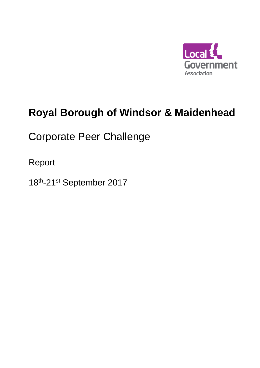

# **Royal Borough of Windsor & Maidenhead**

Corporate Peer Challenge

Report

18<sup>th</sup>-21<sup>st</sup> September 2017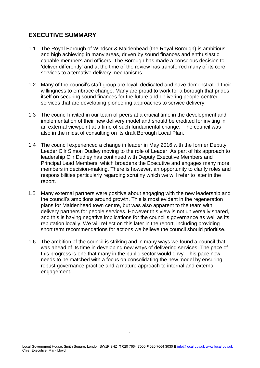# **EXECUTIVE SUMMARY**

- 1.1 The Royal Borough of Windsor & Maidenhead (the Royal Borough) is ambitious and high achieving in many areas, driven by sound finances and enthusiastic, capable members and officers. The Borough has made a conscious decision to 'deliver differently' and at the time of the review has transferred many of its core services to alternative delivery mechanisms.
- 1.2 Many of the council's staff group are loyal, dedicated and have demonstrated their willingness to embrace change. Many are proud to work for a borough that prides itself on securing sound finances for the future and delivering people-centred services that are developing pioneering approaches to service delivery.
- 1.3 The council invited in our team of peers at a crucial time in the development and implementation of their new delivery model and should be credited for inviting in an external viewpoint at a time of such fundamental change. The council was also in the midst of consulting on its draft Borough Local Plan.
- 1.4 The council experienced a change in leader in May 2016 with the former Deputy Leader Cllr Simon Dudley moving to the role of Leader. As part of his approach to leadership Cllr Dudley has continued with Deputy Executive Members and Principal Lead Members, which broadens the Executive and engages many more members in decision-making. There is however, an opportunity to clarify roles and responsibilities particularly regarding scrutiny which we will refer to later in the report.
- 1.5 Many external partners were positive about engaging with the new leadership and the council's ambitions around growth. This is most evident in the regeneration plans for Maidenhead town centre, but was also apparent to the team with delivery partners for people services. However this view is not universally shared, and this is having negative implications for the council's governance as well as its reputation locally. We will reflect on this later in the report, including providing short term recommendations for actions we believe the council should prioritise.
- 1.6 The ambition of the council is striking and in many ways we found a council that was ahead of its time in developing new ways of delivering services. The pace of this progress is one that many in the public sector would envy. This pace now needs to be matched with a focus on consolidating the new model by ensuring robust governance practice and a mature approach to internal and external engagement.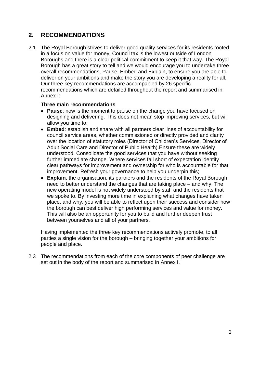# **2. RECOMMENDATIONS**

2.1 The Royal Borough strives to deliver good quality services for its residents rooted in a focus on value for money. Council tax is the lowest outside of London Boroughs and there is a clear political commitment to keep it that way. The Royal Borough has a great story to tell and we would encourage you to undertake three overall recommendations, Pause, Embed and Explain, to ensure you are able to deliver on your ambitions and make the story you are developing a reality for all. Our three key recommendations are accompanied by 26 specific recommendations which are detailed throughout the report and summarised in Annex I:

# **Three main recommendations**

- **Pause**: now is the moment to pause on the change you have focused on designing and delivering. This does not mean stop improving services, but will allow you time to;
- **Embed**: establish and share with all partners clear lines of accountability for council service areas, whether commissioned or directly provided and clarity over the location of statutory roles (Director of Children's Services, Director of Adult Social Care and Director of Public Health).Ensure these are widely understood. Consolidate the good services that you have without seeking further immediate change. Where services fall short of expectation identify clear pathways for improvement and ownership for who is accountable for that improvement. Refresh your governance to help you underpin this;
- **Explain**: the organisation, its partners and the residents of the Royal Borough need to better understand the changes that are taking place – and why. The new operating model is not widely understood by staff and the residents that we spoke to. By investing more time in explaining what changes have taken place, and why, you will be able to reflect upon their success and consider how the borough can best deliver high performing services and value for money. This will also be an opportunity for you to build and further deepen trust between yourselves and all of your partners.

Having implemented the three key recommendations actively promote, to all parties a single vision for the borough – bringing together your ambitions for people and place.

2.3 The recommendations from each of the core components of peer challenge are set out in the body of the report and summarised in Annex I.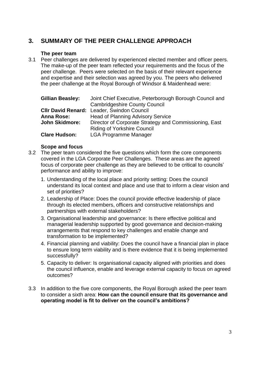# **3. SUMMARY OF THE PEER CHALLENGE APPROACH**

# **The peer team**

3.1 Peer challenges are delivered by experienced elected member and officer peers. The make-up of the peer team reflected your requirements and the focus of the peer challenge. Peers were selected on the basis of their relevant experience and expertise and their selection was agreed by you. The peers who delivered the peer challenge at the Royal Borough of Windsor & Maidenhead were:

| <b>Gillian Beasley:</b> | Joint Chief Executive, Peterborough Borough Council and |
|-------------------------|---------------------------------------------------------|
|                         | <b>Cambridgeshire County Council</b>                    |
|                         | <b>CIIr David Renard: Leader, Swindon Council</b>       |
| <b>Anna Rose:</b>       | <b>Head of Planning Advisory Service</b>                |
| <b>John Skidmore:</b>   | Director of Corporate Strategy and Commissioning, East  |
|                         | <b>Riding of Yorkshire Council</b>                      |
| <b>Clare Hudson:</b>    | <b>LGA Programme Manager</b>                            |

# **Scope and focus**

- 3.2 The peer team considered the five questions which form the core components covered in the LGA Corporate Peer Challenges. These areas are the agreed focus of corporate peer challenge as they are believed to be critical to councils' performance and ability to improve:
	- 1. Understanding of the local place and priority setting: Does the council understand its local context and place and use that to inform a clear vision and set of priorities?
	- 2. Leadership of Place: Does the council provide effective leadership of place through its elected members, officers and constructive relationships and partnerships with external stakeholders?
	- 3. Organisational leadership and governance: Is there effective political and managerial leadership supported by good governance and decision-making arrangements that respond to key challenges and enable change and transformation to be implemented?
	- 4. Financial planning and viability: Does the council have a financial plan in place to ensure long term viability and is there evidence that it is being implemented successfully?
	- 5. Capacity to deliver: Is organisational capacity aligned with priorities and does the council influence, enable and leverage external capacity to focus on agreed outcomes?
- 3.3 In addition to the five core components, the Royal Borough asked the peer team to consider a sixth area: **How can the council ensure that its governance and operating model is fit to deliver on the council's ambitions?**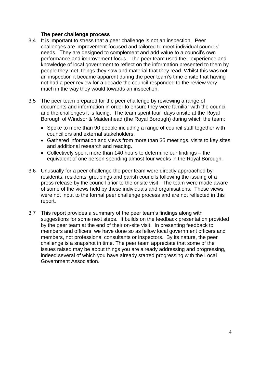# **The peer challenge process**

- 3.4 It is important to stress that a peer challenge is not an inspection. Peer challenges are improvement-focused and tailored to meet individual councils' needs. They are designed to complement and add value to a council's own performance and improvement focus. The peer team used their experience and knowledge of local government to reflect on the information presented to them by people they met, things they saw and material that they read. Whilst this was not an inspection it became apparent during the peer team's time onsite that having not had a peer review for a decade the council responded to the review very much in the way they would towards an inspection.
- 3.5 The peer team prepared for the peer challenge by reviewing a range of documents and information in order to ensure they were familiar with the council and the challenges it is facing. The team spent four days onsite at the Royal Borough of Windsor & Maidenhead (the Royal Borough) during which the team:
	- Spoke to more than 90 people including a range of council staff together with councillors and external stakeholders.
	- Gathered information and views from more than 35 meetings, visits to key sites and additional research and reading.
	- Collectively spent more than 140 hours to determine our findings the equivalent of one person spending almost four weeks in the Royal Borough.
- 3.6 Unusually for a peer challenge the peer team were directly approached by residents, residents' groupings and parish councils following the issuing of a press release by the council prior to the onsite visit. The team were made aware of some of the views held by these individuals and organisations. These views were not input to the formal peer challenge process and are not reflected in this report.
- 3.7 This report provides a summary of the peer team's findings along with suggestions for some next steps. It builds on the feedback presentation provided by the peer team at the end of their on-site visit. In presenting feedback to members and officers, we have done so as fellow local government officers and members, not professional consultants or inspectors. By its nature, the peer challenge is a snapshot in time. The peer team appreciate that some of the issues raised may be about things you are already addressing and progressing, indeed several of which you have already started progressing with the Local Government Association.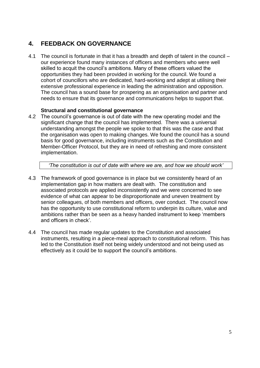# **4. FEEDBACK ON GOVERNANCE**

4.1 The council is fortunate in that it has a breadth and depth of talent in the council – our experience found many instances of officers and members who were well skilled to acquit the council's ambitions. Many of these officers valued the opportunities they had been provided in working for the council. We found a cohort of councillors who are dedicated, hard-working and adept at utilising their extensive professional experience in leading the administration and opposition. The council has a sound base for prospering as an organisation and partner and needs to ensure that its governance and communications helps to support that.

# **Structural and constitutional governance**

4.2 The council's governance is out of date with the new operating model and the significant change that the council has implemented. There was a universal understanding amongst the people we spoke to that this was the case and that the organisation was open to making changes. We found the council has a sound basis for good governance, including instruments such as the Constitution and Member-Officer Protocol, but they are in need of refreshing and more consistent implementation.

*'The constitution is out of date with where we are, and how we should work'*

- 4.3 The framework of good governance is in place but we consistently heard of an implementation gap in how matters are dealt with. The constitution and associated protocols are applied inconsistently and we were concerned to see evidence of what can appear to be disproportionate and uneven treatment by senior colleagues, of both members and officers, over conduct. The council now has the opportunity to use constitutional reform to underpin its culture, value and ambitions rather than be seen as a heavy handed instrument to keep 'members and officers in check'.
- 4.4 The council has made regular updates to the Constitution and associated instruments, resulting in a piece-meal approach to constitutional reform. This has led to the Constitution itself not being widely understood and not being used as effectively as it could be to support the council's ambitions.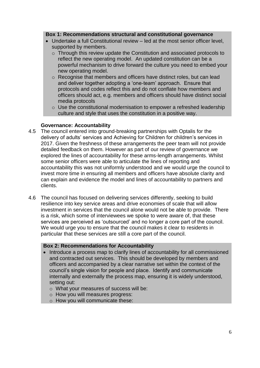#### **Box 1: Recommendations structural and constitutional governance**

- Undertake a full Constitutional review led at the most senior officer level, supported by members.
	- $\circ$  Through this review update the Constitution and associated protocols to reflect the new operating model. An updated constitution can be a powerful mechanism to drive forward the culture you need to embed your new operating model.
	- o Recognise that members and officers have distinct roles, but can lead and deliver together adopting a 'one-team' approach. Ensure that protocols and codes reflect this and do not conflate how members and officers should act, e.g. members and officers should have distinct social media protocols
	- $\circ$  Use the constitutional modernisation to empower a refreshed leadership culture and style that uses the constitution in a positive way.

# **Governance: Accountability**

- 4.5 The council entered into ground-breaking partnerships with Optalis for the delivery of adults' services and Achieving for Children for children's services in 2017. Given the freshness of these arrangements the peer team will not provide detailed feedback on them. However as part of our review of governance we explored the lines of accountability for these arms-length arrangements. Whilst some senior officers were able to articulate the lines of reporting and accountability this was not uniformly understood and we would urge the council to invest more time in ensuring all members and officers have absolute clarity and can explain and evidence the model and lines of accountability to partners and clients.
- 4.6 The council has focused on delivering services differently, seeking to build resilience into key service areas and drive economies of scale that will allow investment in services that the council alone would not be able to provide. There is a risk, which some of interviewees we spoke to were aware of, that these services are perceived as 'outsourced' and no longer a core part of the council. We would urge you to ensure that the council makes it clear to residents in particular that these services are still a core part of the council.

# **Box 2: Recommendations for Accountability**

- Introduce a process map to clarify lines of accountability for all commissioned and contracted out services. This should be developed by members and officers and accompanied by a clear narrative set within the context of the council's single vision for people and place. Identify and communicate internally and externally the process map, ensuring it is widely understood, setting out:
	- o What your measures of success will be:
	- o How you will measures progress:
	- o How you will communicate these: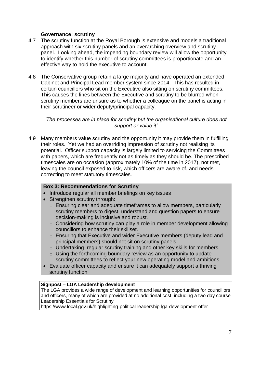# **Governance: scrutiny**

- 4.7 The scrutiny function at the Royal Borough is extensive and models a traditional approach with six scrutiny panels and an overarching overview and scrutiny panel. Looking ahead, the impending boundary review will allow the opportunity to identify whether this number of scrutiny committees is proportionate and an effective way to hold the executive to account.
- 4.8 The Conservative group retain a large majority and have operated an extended Cabinet and Principal Lead member system since 2014. This has resulted in certain councillors who sit on the Executive also sitting on scrutiny committees. This causes the lines between the Executive and scrutiny to be blurred when scrutiny members are unsure as to whether a colleague on the panel is acting in their scrutineer or wider deputy/principal capacity.

*'The processes are in place for scrutiny but the organisational culture does not support or value it'*

4.9 Many members value scrutiny and the opportunity it may provide them in fulfilling their roles. Yet we had an overriding impression of scrutiny not realising its potential. Officer support capacity is largely limited to servicing the Committees with papers, which are frequently not as timely as they should be. The prescribed timescales are on occasion (approximately 10% of the time in 2017), not met, leaving the council exposed to risk, which officers are aware of, and needs correcting to meet statutory timescales.

# **Box 3: Recommendations for Scrutiny**

- Introduce regular all member briefings on key issues
- Strengthen scrutiny through:
	- o Ensuring clear and adequate timeframes to allow members, particularly scrutiny members to digest, understand and question papers to ensure decision-making is inclusive and robust.
	- o Considering how scrutiny can play a role in member development allowing councillors to enhance their skillset.
	- o Ensuring that Executive and wider Executive members (deputy lead and principal members) should not sit on scrutiny panels
	- o Undertaking regular scrutiny training and other key skills for members.
	- $\circ$  Using the forthcoming boundary review as an opportunity to update scrutiny committees to reflect your new operating model and ambitions.
- Evaluate officer capacity and ensure it can adequately support a thriving scrutiny function.

### **Signpost – LGA Leadership development**

The LGA provides a wide range of development and learning opportunities for councillors and officers, many of which are provided at no additional cost, including a two day course Leadership Essentials for Scrutiny

https://www.local.gov.uk/highlighting-political-leadership-lga-development-offer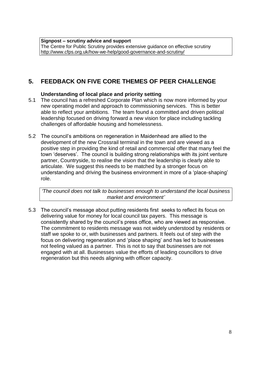**Signpost – scrutiny advice and support** The Centre for Public Scrutiny provides extensive guidance on effective scrutiny <http://www.cfps.org.uk/how-we-help/good-governance-and-scrutiny/>

# **5. FEEDBACK ON FIVE CORE THEMES OF PEER CHALLENGE**

# **Understanding of local place and priority setting**

- 5.1 The council has a refreshed Corporate Plan which is now more informed by your new operating model and approach to commissioning services. This is better able to reflect your ambitions. The team found a committed and driven political leadership focused on driving forward a new vision for place including tackling challenges of affordable housing and homelessness.
- 5.2 The council's ambitions on regeneration in Maidenhead are allied to the development of the new Crossrail terminal in the town and are viewed as a positive step in providing the kind of retail and commercial offer that many feel the town 'deserves'. The council is building strong relationships with its joint venture partner, Countryside, to realise the vision that the leadership is clearly able to articulate. We suggest this needs to be matched by a stronger focus on understanding and driving the business environment in more of a 'place-shaping' role.

*'The council does not talk to businesses enough to understand the local business market and environment'*

5.3 The council's message about putting residents first seeks to reflect its focus on delivering value for money for local council tax payers. This message is consistently shared by the council's press office, who are viewed as responsive. The commitment to residents message was not widely understood by residents or staff we spoke to or, with businesses and partners. It feels out of step with the focus on delivering regeneration and 'place shaping' and has led to businesses not feeling valued as a partner. This is not to say that businesses are not engaged with at all. Businesses value the efforts of leading councillors to drive regeneration but this needs aligning with officer capacity.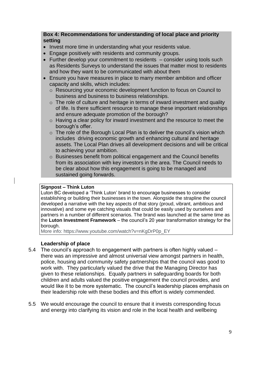# **Box 4: Recommendations for understanding of local place and priority setting**

- Invest more time in understanding what your residents value.
- Engage positively with residents and community groups.
- Further develop your commitment to residents consider using tools such as Residents Surveys to understand the issues that matter most to residents and how they want to be communicated with about them
- Ensure you have measures in place to marry member ambition and officer capacity and skills, which includes:
	- o Resourcing your economic development function to focus on Council to business and business to business relationships.
	- $\circ$  The role of culture and heritage in terms of inward investment and quality of life. Is there sufficient resource to manage these important relationships and ensure adequate promotion of the borough?
	- o Having a clear policy for inward investment and the resource to meet the borough's offer.
	- $\circ$  The role of the Borough Local Plan is to deliver the council's vision which includes driving economic growth and enhancing cultural and heritage assets. The Local Plan drives all development decisions and will be critical to achieving your ambition.
	- o Businesses benefit from political engagement and the Council benefits from its association with key investors in the area. The Council needs to be clear about how this engagement is going to be managed and sustained going forwards.

# **Signpost – Think Luton**

Luton BC developed a 'Think Luton' brand to encourage businesses to consider establishing or building their businesses in the town. Alongside the strapline the council developed a narrative with the key aspects of that story (proud, vibrant, ambitious and innovative) and some eye catching visuals that could be easily used by ourselves and partners in a number of different scenarios. The brand was launched at the same time as the **[Luton Investment Framework](http://www.luton.gov.uk/Business/Pages/Luton-Investment-Framework.aspx)** – the council's 20 year transformation strategy for the borough.

More info: https://www.youtube.com/watch?v=nKgDrP0p\_EY

# **Leadership of place**

- 5.4 The council's approach to engagement with partners is often highly valued there was an impressive and almost universal view amongst partners in health, police, housing and community safety partnerships that the council was good to work with. They particularly valued the drive that the Managing Director has given to these relationships. Equally partners in safeguarding boards for both children and adults valued the positive engagement the council provides, and would like it to be more systematic. The council's leadership places emphasis on their leadership role with these bodies and this effort is widely commended.
- 5.5 We would encourage the council to ensure that it invests corresponding focus and energy into clarifying its vision and role in the local health and wellbeing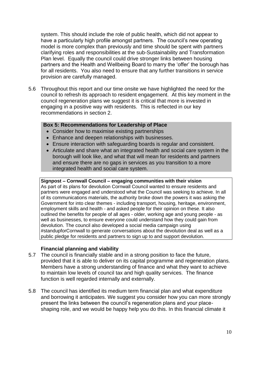system. This should include the role of public health, which did not appear to have a particularly high profile amongst partners. The council's new operating model is more complex than previously and time should be spent with partners clarifying roles and responsibilities at the sub-Sustainability and Transformation Plan level. Equally the council could drive stronger links between housing partners and the Health and Wellbeing Board to marry the 'offer' the borough has for all residents. You also need to ensure that any further transitions in service provision are carefully managed.

5.6 Throughout this report and our time onsite we have highlighted the need for the council to refresh its approach to resident engagement. At this key moment in the council regeneration plans we suggest it is critical that more is invested in engaging in a positive way with residents. This is reflected in our key recommendations in section 2.

# **Box 5: Recommendations for Leadership of Place**

- Consider how to maximise existing partnerships
- Enhance and deepen relationships with businesses.
- Ensure interaction with safeguarding boards is regular and consistent.
- Articulate and share what an integrated health and social care system in the borough will look like, and what that will mean for residents and partners and ensure there are no gaps in services as you transition to a more integrated health and social care system.

#### **Signpost – Cornwall Council – engaging communities with their vision**

As part of its plans for devolution Cornwall Council wanted to ensure residents and partners were engaged and understood what the Council was seeking to achieve. In all of its communications materials, the authority broke down the powers it was asking the Government for into clear themes - including transport, housing, heritage, environment, employment skills and health - and asked people for their opinion on these. It also outlined the benefits for people of all ages - older, working age and young people - as well as businesses, to ensure everyone could understand how they could gain from devolution. The council also developed a social media campaign using #standupforCornwall to generate conversations about the devolution deal as well as a public pledge for residents and partners to sign up to and support devolution.

#### **Financial planning and viability**

- 5.7 The council is financially stable and in a strong position to face the future, provided that it is able to deliver on its capital programme and regeneration plans. Members have a strong understanding of finance and what they want to achieve to maintain low levels of council tax and high quality services. The finance function is well regarded internally and externally.
- 5.8 The council has identified its medium term financial plan and what expenditure and borrowing it anticipates. We suggest you consider how you can more strongly present the links between the council's regeneration plans and your placeshaping role, and we would be happy help you do this. In this financial climate it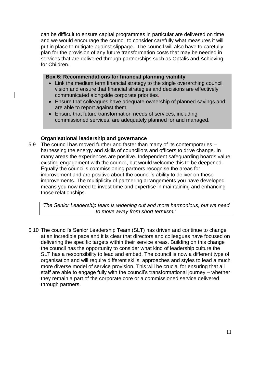can be difficult to ensure capital programmes in particular are delivered on time and we would encourage the council to consider carefully what measures it will put in place to mitigate against slippage. The council will also have to carefully plan for the provision of any future transformation costs that may be needed in services that are delivered through partnerships such as Optalis and Achieving for Children.

#### **Box 6: Recommendations for financial planning viability**

- Link the medium term financial strategy to the single overarching council vision and ensure that financial strategies and decisions are effectively communicated alongside corporate priorities.
- Ensure that colleagues have adequate ownership of planned savings and are able to report against them.
- Ensure that future transformation needs of services, including commissioned services, are adequately planned for and managed.

# **Organisational leadership and governance**

5.9 The council has moved further and faster than many of its contemporaries – harnessing the energy and skills of councillors and officers to drive change. In many areas the experiences are positive. Independent safeguarding boards value existing engagement with the council, but would welcome this to be deepened. Equally the council's commissioning partners recognise the areas for improvement and are positive about the council's ability to deliver on these improvements. The multiplicity of partnering arrangements you have developed means you now need to invest time and expertise in maintaining and enhancing those relationships.

*'The Senior Leadership team is widening out and more harmonious, but we need to move away from short termism.'*

5.10 The council's Senior Leadership Team (SLT) has driven and continue to change at an incredible pace and it is clear that directors and colleagues have focused on delivering the specific targets within their service areas. Building on this change the council has the opportunity to consider what kind of leadership culture the SLT has a responsibility to lead and embed. The council is now a different type of organisation and will require different skills, approaches and styles to lead a much more diverse model of service provision. This will be crucial for ensuring that all staff are able to engage fully with the council's transformational journey – whether they remain a part of the corporate core or a commissioned service delivered through partners.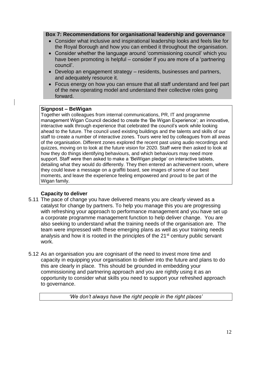#### **Box 7: Recommendations for organisational leadership and governance**

- Consider what inclusive and inspirational leadership looks and feels like for the Royal Borough and how you can embed it throughout the organisation.
- Consider whether the language around 'commissioning council' which you have been promoting is helpful – consider if you are more of a 'partnering council'.
- Develop an engagement strategy residents, businesses and partners, and adequately resource it.
- Focus energy on how you can ensure that all staff understand and feel part of the new operating model and understand their collective roles going forward.

#### **Signpost – BeWigan**

Together with colleagues from internal communications, PR, IT and programme management Wigan Council decided to create the 'Be Wigan Experience'; an innovative, interactive walk through experience that celebrated the council's work while looking ahead to the future. The council used existing buildings and the talents and skills of our staff to create a number of interactive zones. Tours were led by colleagues from all areas of the organisation. Different zones explored the recent past using audio recordings and quizzes, moving on to look at the future vision for 2020. Staff were then asked to look at how they do things identifying behaviours, and which behaviours may need more support. Staff were then asked to make a 'BeWigan pledge' on interactive tablets, detailing what they would do differently. They then entered an achievement room, where they could leave a message on a graffiti board, see images of some of our best moments, and leave the experience feeling empowered and proud to be part of the Wigan family.

# **Capacity to deliver**

- 5.11 The pace of change you have delivered means you are clearly viewed as a catalyst for change by partners. To help you manage this you are progressing with refreshing your approach to performance management and you have set up a corporate programme management function to help deliver change. You are also seeking to understand what the training needs of the organisation are. The team were impressed with these emerging plans as well as your training needs analysis and how it is rooted in the principles of the 21<sup>st</sup> century public servant work.
- 5.12 As an organisation you are cognisant of the need to invest more time and capacity in equipping your organisation to deliver into the future and plans to do this are clearly in place. This should be grounded in embedding your commissioning and partnering approach and you are rightly using it as an opportunity to consider what skills you need to support your refreshed approach to governance.

*'We don't always have the right people in the right places'*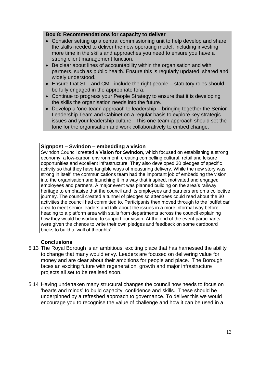### **Box 8: Recommendations for capacity to deliver**

- Consider setting up a central commissioning unit to help develop and share the skills needed to deliver the new operating model, including investing more time in the skills and approaches you need to ensure you have a strong client management function.
- Be clear about lines of accountability within the organisation and with partners, such as public health. Ensure this is regularly updated, shared and widely understood.
- Ensure that SLT and CMT include the right people statutory roles should be fully engaged in the appropriate fora.
- Continue to progress your People Strategy to ensure that it is developing the skills the organisation needs into the future.
- Develop a 'one-team' approach to leadership bringing together the Senior Leadership Team and Cabinet on a regular basis to explore key strategic issues and your leadership culture. This one-team approach should set the tone for the organisation and work collaboratively to embed change.

# **Signpost – Swindon – embedding a vision**

Swindon Council created a **[Vision for Swindon](http://www.swindon.gov.uk/vision)**, which focused on establishing a strong economy, a low-carbon environment, creating compelling cultural, retail and leisure opportunities and excellent infrastructure. They also developed 30 pledges of specific activity so that they have tangible ways of measuring delivery. While the new story was strong in itself, the communications team had the important job of embedding the vision into the organisation and launching it in a way that inspired, motivated and engaged employees and partners. A major event was planned building on the area's railway heritage to emphasise that the council and its employees and partners are on a collective journey. The council created a tunnel of pledges so attendees could read about the 30 activities the council had committed to. Participants then moved through to the 'buffet car' area to meet senior leaders and talk about the issues in a more informal way before heading to a platform area with stalls from departments across the council explaining how they would be working to support our vision. At the end of the event participants were given the chance to write their own pledges and feedback on some cardboard bricks to build a 'wall of thoughts'.

# **Conclusions**

- 5.13 The Royal Borough is an ambitious, exciting place that has harnessed the ability to change that many would envy. Leaders are focused on delivering value for money and are clear about their ambitions for people and place. The Borough faces an exciting future with regeneration, growth and major infrastructure projects all set to be realised soon.
- 5.14 Having undertaken many structural changes the council now needs to focus on 'hearts and minds' to build capacity, confidence and skills. These should be underpinned by a refreshed approach to governance. To deliver this we would encourage you to recognise the value of challenge and how it can be used in a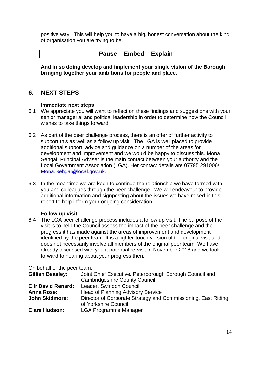positive way. This will help you to have a big, honest conversation about the kind of organisation you are trying to be.

# **Pause – Embed – Explain**

**And in so doing develop and implement your single vision of the Borough bringing together your ambitions for people and place.**

# **6. NEXT STEPS**

# **Immediate next steps**

- 6.1 We appreciate you will want to reflect on these findings and suggestions with your senior managerial and political leadership in order to determine how the Council wishes to take things forward.
- 6.2 As part of the peer challenge process, there is an offer of further activity to support this as well as a follow up visit. The LGA is well placed to provide additional support, advice and guidance on a number of the areas for development and improvement and we would be happy to discuss this. Mona Sehgal, Principal Adviser is the main contact between your authority and the Local Government Association (LGA). Her contact details are 07795 291006/ [Mona.Sehgal@local.gov.uk.](mailto:Mona.Sehgal@local.gov.uk)
- 6.3 In the meantime we are keen to continue the relationship we have formed with you and colleagues through the peer challenge. We will endeavour to provide additional information and signposting about the issues we have raised in this report to help inform your ongoing consideration.

# **Follow up visit**

6.4 The LGA peer challenge process includes a follow up visit. The purpose of the visit is to help the Council assess the impact of the peer challenge and the progress it has made against the areas of improvement and development identified by the peer team. It is a lighter-touch version of the original visit and does not necessarily involve all members of the original peer team. We have already discussed with you a potential re-visit in November 2018 and we look forward to hearing about your progress then.

On behalf of the peer team:

| <b>Gillian Beasley:</b>   | Joint Chief Executive, Peterborough Borough Council and                               |
|---------------------------|---------------------------------------------------------------------------------------|
|                           | <b>Cambridgeshire County Council</b>                                                  |
| <b>CIIr David Renard:</b> | Leader, Swindon Council                                                               |
| <b>Anna Rose:</b>         | <b>Head of Planning Advisory Service</b>                                              |
| <b>John Skidmore:</b>     | Director of Corporate Strategy and Commissioning, East Riding<br>of Yorkshire Council |
| <b>Clare Hudson:</b>      | <b>LGA Programme Manager</b>                                                          |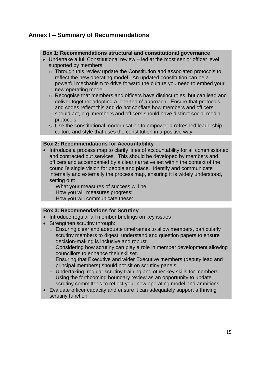# **Annex I – Summary of Recommendations**

# **Box 1: Recommendations structural and constitutional governance**

- Undertake a full Constitutional review led at the most senior officer level, supported by members.
	- o Through this review update the Constitution and associated protocols to reflect the new operating model. An updated constitution can be a powerful mechanism to drive forward the culture you need to embed your new operating model.
	- o Recognise that members and officers have distinct roles, but can lead and deliver together adopting a 'one-team' approach. Ensure that protocols and codes reflect this and do not conflate how members and officers should act, e.g. members and officers should have distinct social media protocols
	- $\circ$  Use the constitutional modernisation to empower a refreshed leadership culture and style that uses the constitution in a positive way.

# **Box 2: Recommendations for Accountability**

- Introduce a process map to clarify lines of accountability for all commissioned and contracted out services. This should be developed by members and officers and accompanied by a clear narrative set within the context of the council's single vision for people and place. Identify and communicate internally and externally the process map, ensuring it is widely understood, setting out:
	- o What your measures of success will be:
	- o How you will measures progress:
	- o How you will communicate these:

#### **Box 3: Recommendations for Scrutiny**

- Introduce regular all member briefings on key issues
- Strengthen scrutiny through:
	- o Ensuring clear and adequate timeframes to allow members, particularly scrutiny members to digest, understand and question papers to ensure decision-making is inclusive and robust.
	- $\circ$  Considering how scrutiny can play a role in member development allowing councillors to enhance their skillset.
	- o Ensuring that Executive and wider Executive members (deputy lead and principal members) should not sit on scrutiny panels
	- o Undertaking regular scrutiny training and other key skills for members.
	- $\circ$  Using the forthcoming boundary review as an opportunity to update scrutiny committees to reflect your new operating model and ambitions.
- Evaluate officer capacity and ensure it can adequately support a thriving scrutiny function.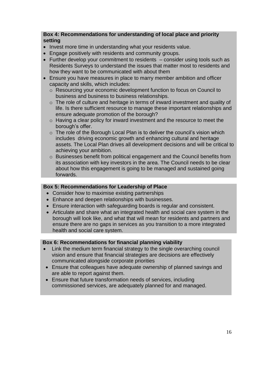# **Box 4: Recommendations for understanding of local place and priority setting**

- Invest more time in understanding what your residents value.
- Engage positively with residents and community groups.
- Further develop your commitment to residents consider using tools such as Residents Surveys to understand the issues that matter most to residents and how they want to be communicated with about them
- Ensure you have measures in place to marry member ambition and officer capacity and skills, which includes:
	- o Resourcing your economic development function to focus on Council to business and business to business relationships.
	- $\circ$  The role of culture and heritage in terms of inward investment and quality of life. Is there sufficient resource to manage these important relationships and ensure adequate promotion of the borough?
	- $\circ$  Having a clear policy for inward investment and the resource to meet the borough's offer.
	- $\circ$  The role of the Borough Local Plan is to deliver the council's vision which includes driving economic growth and enhancing cultural and heritage assets. The Local Plan drives all development decisions and will be critical to achieving your ambition.
	- o Businesses benefit from political engagement and the Council benefits from its association with key investors in the area. The Council needs to be clear about how this engagement is going to be managed and sustained going forwards.

# **Box 5: Recommendations for Leadership of Place**

- Consider how to maximise existing partnerships
- Enhance and deepen relationships with businesses.
- Ensure interaction with safeguarding boards is regular and consistent.
- Articulate and share what an integrated health and social care system in the borough will look like, and what that will mean for residents and partners and ensure there are no gaps in services as you transition to a more integrated health and social care system.

# **Box 6: Recommendations for financial planning viability**

- Link the medium term financial strategy to the single overarching council vision and ensure that financial strategies are decisions are effectively communicated alongside corporate priorities
- Ensure that colleagues have adequate ownership of planned savings and are able to report against them.
- Ensure that future transformation needs of services, including commissioned services, are adequately planned for and managed.